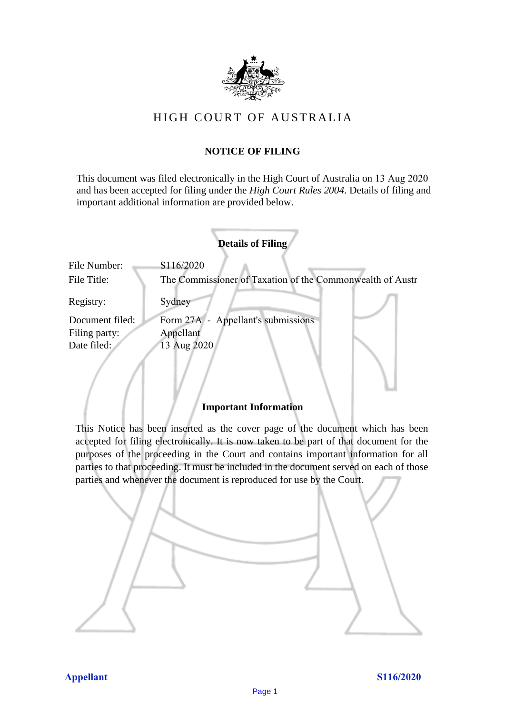

# HIGH COURT OF AU STRALIA HIGH COURT OF AUSTRALIA

## **NOTICE OF FILING** NOTICE OF FILING

This document was filed electronically in the High Court of Australia on 13 Aug 2020 This document was filed electronically in the High Court of Australia 20 and has been accepted for filing under the *High Court Rules 2004*. Details of filing and important additional information are provided below. important additional information are provided below.

|                 | <b>Details of Filing</b>                                  |
|-----------------|-----------------------------------------------------------|
| File Number:    | S116/2020                                                 |
| File Title:     | The Commissioner of Taxation of the Commonwealth of Austr |
| Registry:       | Sydney                                                    |
| Document filed: | Form 27A - Appellant's submissions                        |
| Filing party:   | Appellant                                                 |
| Date filed:     | 13 Aug 2020                                               |
|                 |                                                           |

## **Important Information** Important Information

This Notice has been inserted as the cover page of the document which has been accepted for filing electronically. It is now taken to be part of that document for the purposes of the proceeding in the Court and contains important information for all parties to that proceeding. It must be included in the document served on each of those parties and whenever the document is reproduced for use by the Court. parties and whenever the document is reproduced for use by the Court

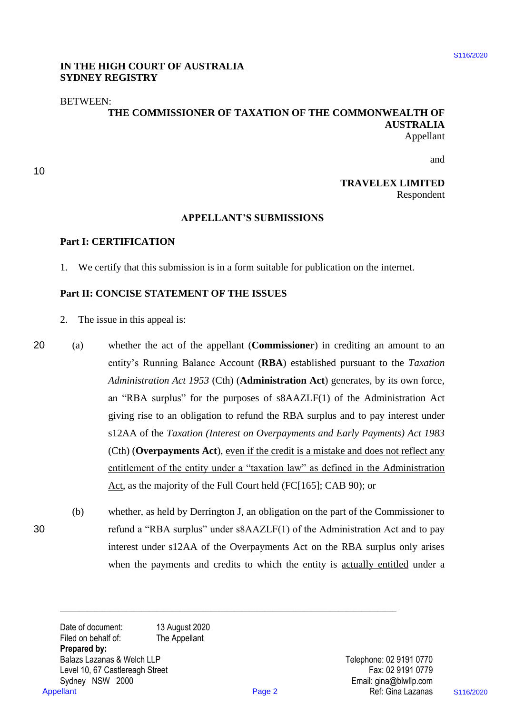## **IN THE HIGH COURT OF AUSTRALIA**  IN THE HIGH COURT OF AUSTRALIA **SYDNEY REGISTRY** SYDNEY REGISTRY

## BETWEEN: BETWEEN:

## **THE COMMISSIONER OF TAXATION OF THE COMMONWEALTH OF**  THE COMMISSIONER OF TAXATION OF THE COMMONWEALTH OF **AUSTRALIA** AUSTRALIA Appellant Appellant

10 10

and and

## **TRAVELEX LIMITED** TRAVELEX LIMITED Respondent Respondent

### **APPELLANT'S SUBMISSIONS** APPELLANT'S SUBMISSIONS

## **Part I: CERTIFICATION** Part I: CERTIFICATION

1. We certify that this submission is in a form suitable for publication on the internet. 1. We certify that this submission is in a form suitable for publication on the internet.

## **Part II: CONCISE STATEMENT OF THE ISSUES** Part Il: CONCISE STATEMENT OF THE ISSUES

- 2. The issue in this appeal is: 2. The issue in this appeal is:
- 20 (a) whether the act of the appellant (**Commissioner**) in crediting an amount to an 20 (a) whether the act of the appellant (Commissioner) in crediting an amount to an entity's Running Balance Account (RBA) established pursuant to the *Taxation Administration Act 1953* (Cth) (**Administration Act**) generates, by its own force, Administration Act 1953 (Cth) (Administration Act) generates, by its own force, an "RBA surplus" for the purposes of s8AAZLF(1) of the Administration Act giving rise to an obligation to refund the RBA surplus and to pay interest under giving rise to an obligation to refund the RBA surplus and to pay interest under s12AA of the *Taxation (Interest on Overpayments and Early Payments) Act 1983* (Cth) (**Overpayments Act**), even if the credit is a mistake and does not reflect any (Cth) (Overpayments Act), even ifthe credit is <sup>a</sup> mistake and does not reflect any entitlement of the entity under a "taxation law" as defined in the Administration Act, as the majority of the Full Court held (FC[165]; CAB 90); or IN THE IRIGH COURT OF AUSTRALIA SUBSEX<br>
SERVENCESTRY<br>
SERVENCESTRY<br>
THE COMMISSIONER OF TAXATION OF THE COMMONWEALTHI OF<br>
APPELLANT'S SUBMISSIONS<br>
TRAVELEX LIMITED<br>
APPELLANT'S SUBMISSIONS<br>
TRAVELEX LIMITED<br>
APPELLANT'S S
- (b) whether, as held by Derrington J, an obligation on the part of the Commissioner to (b) whether, as held by Derrington J, an obligation on the part of the Commissioner to 30 refund a "RBA surplus" under s8AAZLF(1) of the Administration Act and to pay 30 refund <sup>a</sup> "RBA surplus" under ssAAZLF(1) of the Administration Act and to pay interest under s12AA of the Overpayments Act on the RBA surplus only arises interest under s12AA of the Overpayments Act on the RBA surplus only arises when the payments and credits to which the entity is actually entitled under a

**\_\_\_\_\_\_\_\_\_\_\_\_\_\_\_\_\_\_\_\_\_\_\_\_\_\_\_\_\_\_\_\_\_\_\_\_\_\_\_\_\_\_\_\_\_\_\_\_\_\_\_\_\_\_\_\_\_\_\_\_\_\_\_\_\_\_\_\_\_\_\_\_\_\_\_\_\_\_\_\_\_\_\_\_\_\_\_**

Date of document: 13 August 2020 Filed on behalf of: The Appellant<br>Prepared by: **Prepared by:** Balazs Lazanas & Welch LLP and Telephone: 02 9191 0770 Level 10, 67 Castlereagh Street Fax: 02 9191 0779 Sydney NSW 2000 Email: gina@blwllp.com Sydney NSW 2000 Email: gina@blwllp.com Ref: Gina Lazanas Appellant Page 2 Ref: Gina Lazanas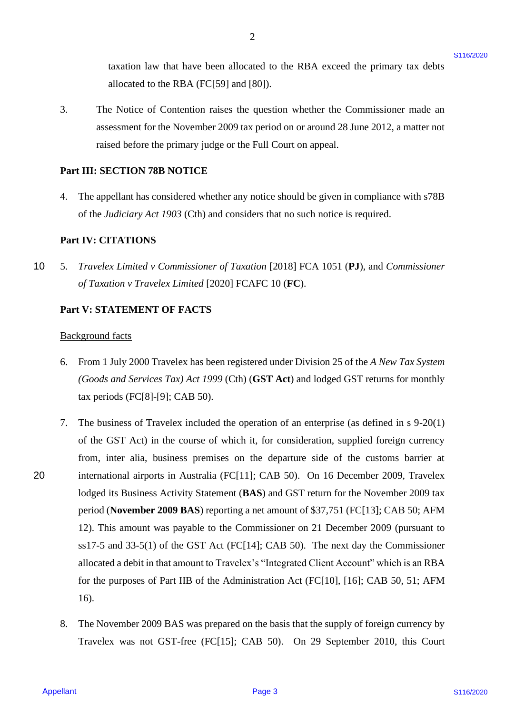taxation law that have been allocated to the RBA exceed the primary tax debts taxation law that have been allocated to the RBA exceed the primary tax debts allocated to the RBA (FC[59] and [80]). allocated to the RBA (FC[59] and [80]).

3. The Notice of Contention raises the question whether the Commissioner made an The Notice of Contention raises the question whether the Commissioner made an assessment for the November 2009 tax period on or around 28 June 2012, a matter not assessment for the November 2009 tax period on or around 28 June 2012, <sup>a</sup> matter not raised before the primary judge or the Full Court on appeal. raised before the primary judge or the Full Court on appeal.

2

## **Part III: SECTION 78B NOTICE** Part III: SECTION 78B NOTICE

4. The appellant has considered whether any notice should be given in compliance with s78B 4. The appellant has considered whether any notice should be given in compliance with s78B of the *Judiciary Act 1903* (Cth) and considers that no such notice is required. of the Judiciary Act 1903 (Cth) and considers that no such notice is required.

## **Part IV: CITATIONS** Part IV: CITATIONS

10 5. Travelex Limited v Commissioner of Taxation [2018] FCA 1051 (PJ), and Commissioner *of Taxation v Travelex Limited* [2020] FCAFC 10 (**FC**). of Taxation v Travelex Limited [2020] FCAFC 10 (FC).

#### **Part V: STATEMENT OF FACTS** Part V: STATEMENT OF FACTS

#### Background facts Background facts

- 6. From 1 July 2000 Travelex has been registered under Division 25 of the A New Tax System *(Goods and Services Tax) Act 1999* (Cth) (**GST Act**) and lodged GST returns for monthly (Goods and Services Tax) Act 1999 (Cth) (GST Act) and lodged GST returns for monthly tax periods (FC[8]-[9]; CAB 50). tax periods (FC[8]-[9]; CAB 50).
- 7. The business of Travelex included the operation of an enterprise (as defined in s 9-20(1) 7. The business of Travelex included the operation of an enterprise (as defined in <sup>s</sup> 9-20(1) of the GST Act) in the course of which it, for consideration, supplied foreign currency of the GST Act) in the course of which it, for consideration, supplied foreign currency from, inter alia, business premises on the departure side of the customs barrier at from, inter alia, business premises on the departure side of the customs barrier at 20 international airports in Australia (FC[11]; CAB 50). On 16 December 2009, Travelex international airports in Australia (FC[11]; CAB 50). On 16 December 2009, Travelex lodged its Business Activity Statement (**BAS**) and GST return for the November 2009 tax lodged its Business Activity Statement (BAS) and GST return for the November 2009 tax period (**November 2009 BAS**) reporting a net amount of \$37,751 (FC[13]; CAB 50; AFM period (November 2009 BAS) reporting a net amount of \$37,751 (FC[13]; CAB 50; AFM 12). This amount was payable to the Commissioner on 21 December 2009 (pursuant to 12). This amount was payable to the Commissioner on 21 December 2009 (pursuant to ss17-5 and 33-5(1) of the GST Act (FC[14]; CAB 50). The next day the Commissioner ss17-5 and 33-5(1) of the GST Act (FC[14]; CAB 50). The next day the Commissioner allocated a debit in that amount to Travelex's "Integrated Client Account" which is an RBA for the purposes of Part IIB of the Administration Act (FC[10], [16]; CAB 50, 51; AFM for the purposes of Part IIB of the Administration Act (FC[10], [16]; CAB 50, 51; AFM 16). 16). taxaion law that have been allocated to the RBA exceed the primary tax debts<br>a inference of Contention (P189) and [80]).<br>
S. The Noise of Contention anisother change system whether the Commissioner analo an<br>
measurement f
	- 8. The November 2009 BAS was prepared on the basis that the supply of foreign currency by 8. The November 2009 BAS was prepared on the basis that the supply of foreign currency by Travelex was not GST-free (FC[15]; CAB 50). On 29 September 2010, this Court Travelex was not GST-free (FC[15]; CAB 50). On 29 September 2010, this Court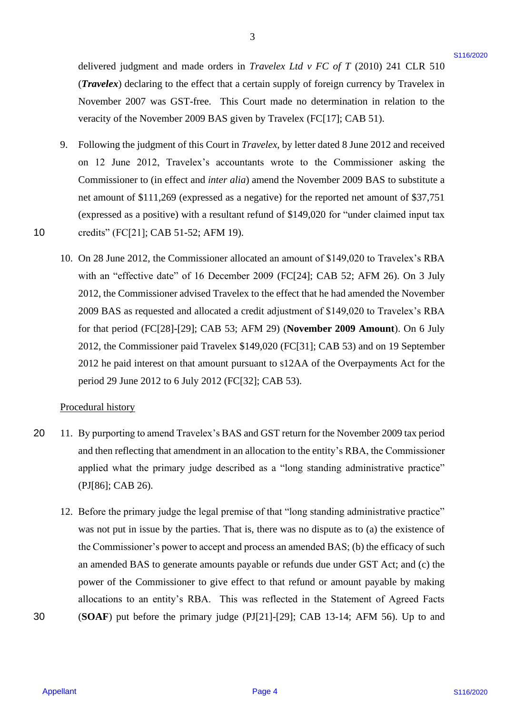delivered judgment and made orders in *Travelex Ltd v FC of T* (2010) 241 CLR 510 delivered judgment and made orders in Travelex Ltd v FC of T (2010) 241 CLR 510 (*Travelex*) declaring to the effect that a certain supply of foreign currency by Travelex in (Travelex) declaring to the effect that <sup>a</sup> certain supply of foreign currency by Travelex in November 2007 was GST-free. This Court made no determination in relation to the November 2007 was GST-free. This Court made no determination in relation to the veracity of the November 2009 BAS given by Travelex (FC[17]; CAB 51). veracity of the November 2009 BAS given by Travelex (FC[17]; CAB 51).

- 9. Following the judgment of this Court in *Travelex*, by letter dated 8 June 2012 and received Following the judgment of this Court in Travelex, by letter dated <sup>8</sup> June 2012 and received on 12 June 2012, Travelex's accountants wrote to the Commissioner asking the Commissioner to (in effect and *inter alia*) amend the November 2009 BAS to substitute a Commissioner to (in effect and inter alia) amend the November 2009 BAS to substitute <sup>a</sup> net amount of \$111,269 (expressed as a negative) for the reported net amount of \$37,751 net amount of \$111,269 (expressed as a negative) for the reported net amount of \$37,751 (expressed as a positive) with a resultant refund of \$149,020 for "under claimed input tax (expressed as <sup>a</sup> positive) with <sup>a</sup> resultant refund of \$149,020 for "under claimed input tax 10 credits" (FC[21]; CAB 51-52; AFM 19). credits" (FC[21]; CAB 51-52; AFM 19).
- 10. On 28 June 2012, the Commissioner allocated an amount of \$149,020 to Travelex's RBA 10. On 28 June 2012, the Commissioner allocated an amount of \$149,020 to Travelex's RBA with an "effective date" of 16 December 2009 (FC[24]; CAB 52; AFM 26). On 3 July with an "effective date" of 16 December 2009 (FC[24]; CAB 52; AFM 26). On <sup>3</sup> July 2012, the Commissioner advised Travelex to the effect that he had amended the November 2012, the Commissioner advised Travelex to the effect that he had amended the November 2009 BAS as requested and allocated a credit adjustment of \$149,020 to Travelex's RBA 2009 BAS as requested and allocated <sup>a</sup> credit adjustment of \$149,020 to Travelex's RBA for that period (FC[28]-[29]; CAB 53; AFM 29) (**November 2009 Amount**). On 6 July for that period (FC[28]-[29]; CAB 53; AFM 29) (November 2009 Amount). On 6 July 2012, the Commissioner paid Travelex \$149,020 (FC[31]; CAB 53) and on 19 September 2012, the Commissioner paid Travelex \$149,020 (FC[31]; CAB 53) and on 19 September 2012 he paid interest on that amount pursuant to s12AA of the Overpayments Act for the 2012 he paid interest on that amount pursuant to s12AA of the Overpayments Act for the period 29 June 2012 to 6 July 2012 (FC[32]; CAB 53). period 29 June 2012 to 6 July 2012 (FC[32]; CAB 53). delivered judgment and made orders in Truvelet LaF + FC of T (2010) 241 CIR s 10<br>
(Truvelez lack-artistic the relief their accretis theory in Finely continentation in Achilon to the<br>
November 2007 was GST-foxe. This Court

### Procedural history Procedural history

10

- 20 11. By purporting to amend Travelex's BAS and GST return for the November 2009 tax period and then reflecting that amendment in an allocation to the entity's RBA, the Commissioner and then reflecting that amendment in an allocation to the entity's RBA, the Commissioner applied what the primary judge described as a "long standing administrative practice" applied what the primary judge described as a "long standing administrative practice" (PJ[86]; CAB 26). (PJ[86]; CAB 26).  $20<sub>2</sub>$
- 12. Before the primary judge the legal premise of that "long standing administrative practice" 12. Before the primary judge the legal premise of that "long standing administrative practice" was not put in issue by the parties. That is, there was no dispute as to (a) the existence of the Commissioner's power to accept and process an amended BAS; (b) the efficacy of such the Commissioner's power to accept and process an amended BAS; (b) the efficacy of such an amended BAS to generate amounts payable or refunds due under GST Act; and (c) the an amended BAS to generate amounts payable or refunds due under GST Act; and (c) the power of the Commissioner to give effect to that refund or amount payable by making power of the Commissioner to give effect to that refund or amount payable by making allocations to an entity's RBA. This was reflected in the Statement of Agreed Facts allocations to an entity's RBA. This was reflected in the Statement of Agreed Facts 30 (**SOAF**) put before the primary judge (PJ[21]-[29]; CAB 13-14; AFM 56). Up to and (SOAF) put before the primary judge (PJ[21]-[29]; CAB 13-14; AFM 56). Up to and

3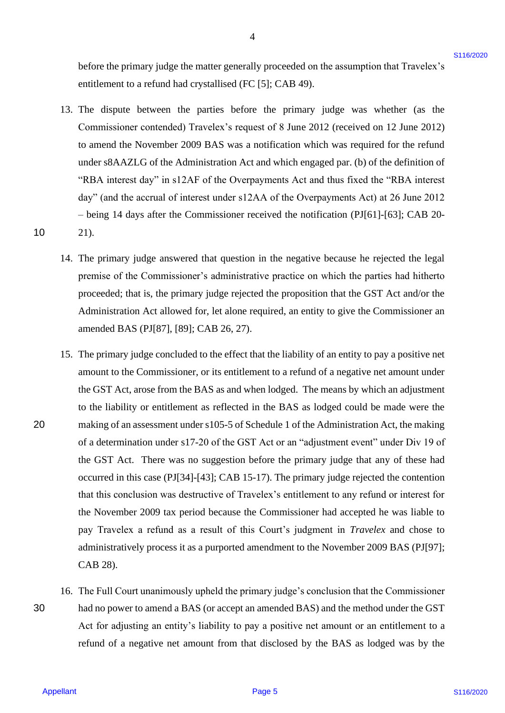before the primary judge the matter generally proceeded on the assumption that Travelex's entitlement to a refund had crystallised (FC [5]; CAB 49). entitlement to <sup>a</sup> refund had crystallised (FC [5]; CAB 49).

4

- 13. The dispute between the parties before the primary judge was whether (as the 13. The dispute between the parties before the primary judge was whether (as the Commissioner contended) Travelex's request of 8 June 2012 (received on 12 June 2012) Commissioner contended) Travelex's request of <sup>8</sup> June 2012 (received on 12 June 2012) to amend the November 2009 BAS was a notification which was required for the refund to amend the November 2009 BAS was a notification which was required for the refund under s8AAZLG of the Administration Act and which engaged par. (b) of the definition of under ssAAZLG of the Administration Act and which engaged par. (b) of the definition of "RBA interest day" in s12AF of the Overpayments Act and thus fixed the "RBA interest "RBA interest day" in s12AF of the Overpayments Act and thus fixed the "RBA interest day" (and the accrual of interest under s12AA of the Overpayments Act) at 26 June 2012 day" (and the accrual of interest under s12AA of the Overpayments Act) at 26 June 2012 – being 14 days after the Commissioner received the notification (PJ[61]-[63]; CAB 20- — being 14 days after the Commissioner received the notification (PJ[61]-[63]; CAB 20- 10 21). 21).
	- 14. The primary judge answered that question in the negative because he rejected the legal 14. The primary judge answered that question in the negative because he rejected the legal premise of the Commissioner's administrative practice on which the parties had hitherto premise of the Commissioner's administrative practice on which the parties had hitherto proceeded; that is, the primary judge rejected the proposition that the GST Act and/or the proceeded; that is, the primary judge rejected the proposition that the GST Act and/or the Administration Act allowed for, let alone required, an entity to give the Commissioner an Administration Act allowed for, let alone required, an entity to give the Commissioner an amended BAS (PJ[87], [89]; CAB 26, 27). amended BAS (PJ[87], [89]; CAB 26, 27).
- 15. The primary judge concluded to the effect that the liability of an entity to pay a positive net 15. The primary judge concluded to the effect that the liability of an entity to pay a positive net amount to the Commissioner, or its entitlement to a refund of a negative net amount under the GST Act, arose from the BAS as and when lodged. The means by which an adjustment the GST Act, arose from the BAS as and when lodged. The means by which an adjustment to the liability or entitlement as reflected in the BAS as lodged could be made were the to the liability or entitlement as reflected in the BAS as lodged could be made were the 20 making of an assessment under s105-5 of Schedule 1 of the Administration Act, the making of a determination under s17-20 of the GST Act or an "adjustment event" under Div 19 of of a determination under s17-20 of the GST Act or an "adjustment event" under Div 19 of the GST Act. There was no suggestion before the primary judge that any of these had the GST Act. There was no suggestion before the primary judge that any of these had occurred in this case (PJ[34]-[43]; CAB 15-17). The primary judge rejected the contention occurred in this case (PJ[34]-[43]; CAB 15-17). The primary judge rejected the contention that this conclusion was destructive of Travelex's entitlement to any refund or interest for that this conclusion was destructive of Travelex's entitlement to any refund or interest for the November 2009 tax period because the Commissioner had accepted he was liable to the November 2009 tax period because the Commissioner had accepted he was liable to pay Travelex a refund as a result of this Court's judgment in *Travelex* and chose to administratively process it as a purported amendment to the November 2009 BAS (PJ[97]; administratively process it as <sup>a</sup> purported amendment to the November 2009 BAS (PJ[97]; CAB 28). CAB 28). before the primary judge also used to contactly proceeded on the assumption that Taxvelets<br>
and the stationary interaction of  $\sim$  1022 CM 49).<br>
Also dispute between the particles before the primary judge was whether (as
- 16. The Full Court unanimously upheld the primary judge's conclusion that the Commissioner 16. The Full Court unanimously upheld the primary judge's conclusion that the Commissioner 30 had no power to amend a BAS (or accept an amended BAS) and the method under the GST had no power to amend <sup>a</sup> BAS (or accept an amended BAS) and the method under the GST Act for adjusting an entity's liability to pay a positive net amount or an entitlement to a Act for adjusting an entity's liability to pay a positive net amount or an entitlement to <sup>a</sup> refund of a negative net amount from that disclosed by the BAS as lodged was by the refund of <sup>a</sup> negative net amount from that disclosed by the BAS as lodged was by the 30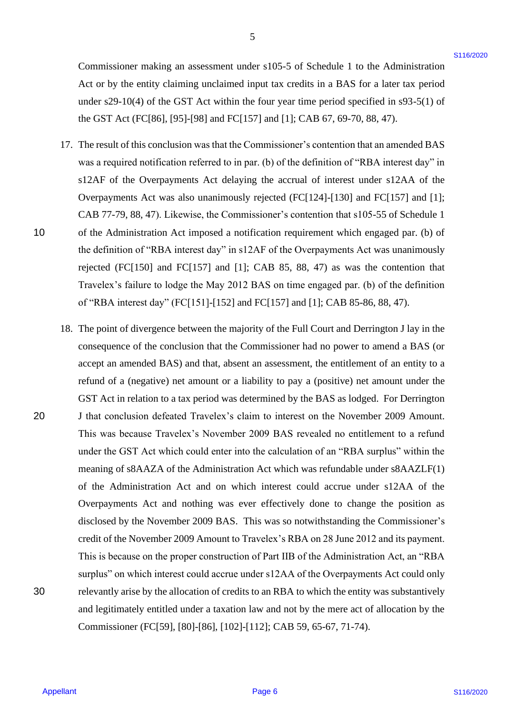Commissioner making an assessment under s105-5 of Schedule 1 to the Administration Act or by the entity claiming unclaimed input tax credits in a BAS for a later tax period Act or by the entity claiming unclaimed input tax credits in <sup>a</sup> BAS for <sup>a</sup> later tax period under s29-10(4) of the GST Act within the four year time period specified in s93-5(1) of under s29-10(4) of the GST Act within the four year time period specified in s93-5(1) of the GST Act (FC[86], [95]-[98] and FC[157] and [1]; CAB 67, 69-70, 88, 47). the GST Act (FC[86], [95]-[98] and FC[157] and [1]; CAB 67, 69-70, 88, 47).

- 17. The result of this conclusion was that the Commissioner's contention that an amended BAS 17. The result of this conclusion was that the Commissioner's contention that an amended BAS was a required notification referred to in par. (b) of the definition of "RBA interest day" in was <sup>a</sup> required notification referred to in par. (b) of the definition of "RBA interest day" in s12AF of the Overpayments Act delaying the accrual of interest under s12AA of the Overpayments Act was also unanimously rejected (FC[124]-[130] and FC[157] and [1]; Overpayments Act was also unanimously rejected (FC[124]-[130] and FC[157] and [1]; CAB 77-79, 88, 47). Likewise, the Commissioner's contention that s105-55 of Schedule 1 CAB 77-79, 88, 47). Likewise, the Commissioner's contention that s105-55 of Schedule 1 10 of the Administration Act imposed a notification requirement which engaged par. (b) of the definition of "RBA interest day" in s12AF of the Overpayments Act was unanimously the definition of "RBA interest day" in s12AF of the Overpayments Act was unanimously rejected  $[FC[150]$  and  $FC[157]$  and  $[1]$ ; CAB 85, 88, 47) as was the contention that Travelex's failure to lodge the May 2012 BAS on time engaged par. (b) of the definition Travelex's failure to lodge the May 2012 BAS on time engaged par. (b) of the definition of "RBA interest day" (FC[151]-[152] and FC[157] and [1]; CAB 85-86, 88, 47). of "RBA interest day" (FC[151]-[152] and FC[157] and [1]; CAB 85-86, 88, 47).
- 18. The point of divergence between the majority of the Full Court and Derrington J lay in the 18. The point of divergence between the majority of the Full Court and Derrington <sup>J</sup> lay in the consequence of the conclusion that the Commissioner had no power to amend a BAS (or accept an amended BAS) and that, absent an assessment, the entitlement of an entity to a accept an amended BAS) and that, absent an assessment, the entitlement of an entity to <sup>a</sup> refund of a (negative) net amount or a liability to pay a (positive) net amount under the refund of <sup>a</sup> (negative) net amount or <sup>a</sup> liability to pay <sup>a</sup> (positive) net amount under the GST Act in relation to a tax period was determined by the BAS as lodged. For Derrington GST Act in relation to a tax period was determined by the BAS as lodged. For Derrington 20 J that conclusion defeated Travelex's claim to interest on the November 2009 Amount. J that conclusion defeated Travelex's claim to interest on the November 2009 Amount. This was because Travelex's November 2009 BAS revealed no entitlement to a refund This was because Travelex's November 2009 BAS revealed no entitlement to a refund under the GST Act which could enter into the calculation of an "RBA surplus" within the under the GST Act which could enter into the calculation of an "RBA surplus" within the meaning of s8AAZA of the Administration Act which was refundable under s8AAZLF(1) meaning of ssAAZA of the Administration Act which was refundable under ssAAZLF(1) of the Administration Act and on which interest could accrue under s12AA of the Overpayments Act and nothing was ever effectively done to change the position as Overpayments Act and nothing was ever effectively done to change the position as disclosed by the November 2009 BAS. This was so notwithstanding the Commissioner's disclosed by the November 2009 BAS. This was so notwithstanding the Commissioner's credit of the November 2009 Amount to Travelex's RBA on 28 June 2012 and its payment. credit of the November 2009 Amount to Travelex's RBA on 28 June 2012 and its payment. This is because on the proper construction of Part IIB of the Administration Act, an "RBA This is because on the proper construction of Part IIB of the Administration Act, an "RBA surplus" on which interest could accrue under s12AA of the Overpayments Act could only surplus" on which interest could accrue under s12AA of the Overpayments Act could only 30 relevantly arise by the allocation of credits to an RBA to which the entity was substantively relevantly arise by the allocation of credits to an RBA to which the entity was substantively and legitimately entitled under a taxation law and not by the mere act of allocation by the and legitimately entitled under a taxation law and not by the mere act of allocation by the Commissioner (FC[59], [80]-[86], [102]-[112]; CAB 59, 65-67, 71-74). Commissioner (FC[59], [80]-[86], [102]-[112]; CAB 59, 65-67, 71-74). Commissioner analoing an assessment under s105-5 of Schedula 1 to the Administration<br>Act of by the entity claiming uncertainting that restricts in a 1885 also tax is pointed<br>under and the properties in the control of the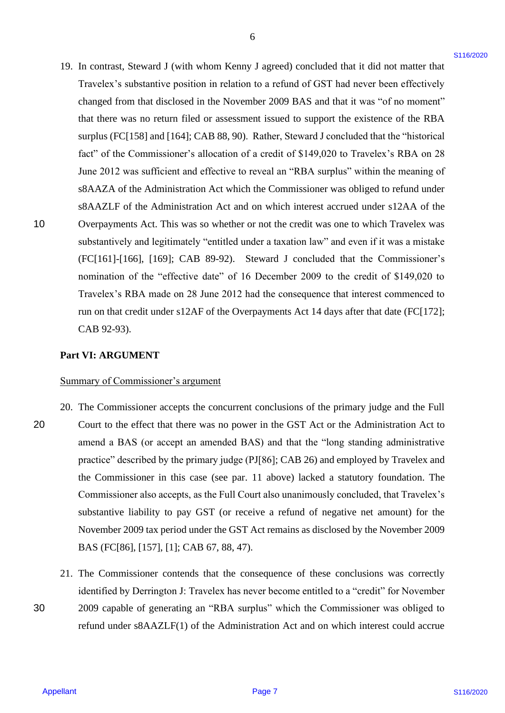19. In contrast, Steward J (with whom Kenny J agreed) concluded that it did not matter that 19. In contrast, Steward J (with whom Kenny J agreed) concluded that it did not matter that Travelex's substantive position in relation to a refund of GST had never been effectively Travelex's substantive position in relation to <sup>a</sup> refund of GST had never been effectively changed from that disclosed in the November 2009 BAS and that it was "of no moment" changed from that disclosed in the November 2009 BAS and that it was "of no moment" that there was no return filed or assessment issued to support the existence of the RBA that there was no return filed or assessment issued to support the existence of the RBA surplus (FC[158] and [164]; CAB 88, 90). Rather, Steward J concluded that the "historical surplus (FC[158] and [164]; CAB 88, 90). Rather, Steward <sup>J</sup> concluded that the "historical fact" of the Commissioner's allocation of a credit of \$149,020 to Travelex's RBA on 28 fact" of the Commissioner's allocation of <sup>a</sup> credit of \$149,020 to Travelex's RBA on 28 June 2012 was sufficient and effective to reveal an "RBA surplus" within the meaning of June 2012 was sufficient and effective to reveal an "RBA surplus" within the meaning of s8AAZA of the Administration Act which the Commissioner was obliged to refund under s8AAZA of the Administration Act which the Commissioner was obliged to refund under s8AAZLF of the Administration Act and on which interest accrued under s12AA of the 10 Overpayments Act. This was so whether or not the credit was one to which Travelex was Overpayments Act. This was so whether or not the credit was one to which Travelex was substantively and legitimately "entitled under a taxation law" and even if it was a mistake substantively and legitimately "entitled under <sup>a</sup> taxation law" and even if it was <sup>a</sup> mistake (FC[161]-[166], [169]; CAB 89-92). Steward J concluded that the Commissioner's (FC[161]-[166], [169]; CAB 89-92). Steward J concluded that the Commissioner's nomination of the "effective date" of 16 December 2009 to the credit of \$149,020 to nomination of the "effective date" of <sup>16</sup> December 2009 to the credit of \$149,020 to Travelex's RBA made on 28 June 2012 had the consequence that interest commenced to Travelex's RBA made on 28 June 2012 had the consequence that interest commenced to run on that credit under s12AF of the Overpayments Act 14 days after that date (FC[172]; run on that credit under s12AF of the Overpayments Act <sup>14</sup> days after that date (FC[172]; CAB 92-93). CAB 92-93). 19. In contrast, Several J (with whom Kenny J agreed) concluded that it did not matter that<br>
Truettes's substantine procedure methods that it is never been filled that the complete the substantine of the state of the time

6

## **Part VI: ARGUMENT** Part VI: ARGUMENT

### Summary of Commissioner's argument Summary of Commissioner's argument

- 20. The Commissioner accepts the concurrent conclusions of the primary judge and the Full 20. The Commissioner accepts the concurrent conclusions of the primary judge and the Full 20 Court to the effect that there was no power in the GST Act or the Administration Act to Court to the effect that there was no power in the GST Act or the Administration Act to amend a BAS (or accept an amended BAS) and that the "long standing administrative amend a BAS (or accept an amended BAS) and that the "long standing administrative practice" described by the primary judge (PJ[86]; CAB 26) and employed by Travelex and practice" described by the primary judge (PJ[86]; CAB 26) and employed by Travelex and the Commissioner in this case (see par. 11 above) lacked a statutory foundation. The the Commissioner in this case (see par. <sup>11</sup> above) lacked <sup>a</sup> statutory foundation. The Commissioner also accepts, as the Full Court also unanimously concluded, that Travelex's Commissioner also accepts, as the Full Court also unanimously concluded, that Travelex's substantive liability to pay GST (or receive a refund of negative net amount) for the substantive liability to pay GST (or receive a refund of negative net amount) for the November 2009 tax period under the GST Act remains as disclosed by the November 2009 November 2009 tax period under the GST Act remains as disclosed by the November 2009 BAS (FC[86], [157], [1]; CAB 67, 88, 47). BAS (FC[86], [157], [1]; CAB 67, 88, 47). 20
- 21. The Commissioner contends that the consequence of these conclusions was correctly 21. The Commissioner contends that the consequence of these conclusions was correctly identified by Derrington J: Travelex has never become entitled to a "credit" for November identified by Derrington J: Travelex has never become entitled to <sup>a</sup> "credit" for November 30 2009 capable of generating an "RBA surplus" which the Commissioner was obliged to 2009 capable of generating an"RBA surplus" which the Commissioner was obliged to refund under s8AAZLF(1) of the Administration Act and on which interest could accrue refund under ssAAZLF(1) of the Administration Act and on which interest could accrue

Appellant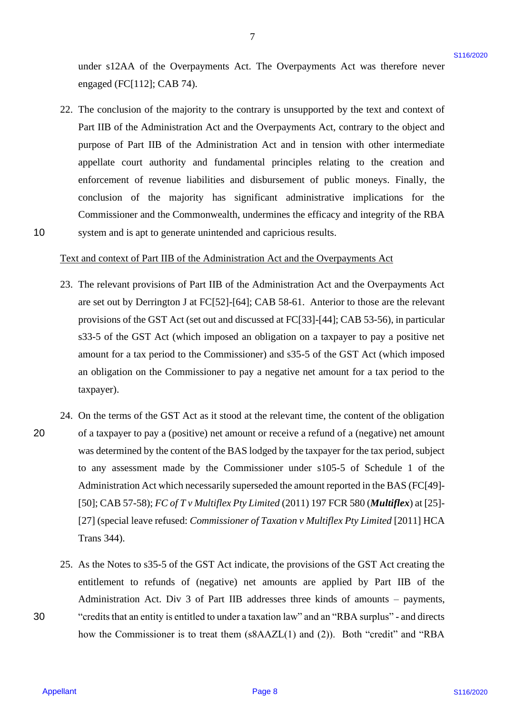under s12AA of the Overpayments Act. The Overpayments Act was therefore never under s12AA of the Overpayments Act. The Overpayments Act was therefore never engaged (FC[112]; CAB 74). engaged (FC[112]; CAB 74).

7

22. The conclusion of the majority to the contrary is unsupported by the text and context of 22. The conclusion of the majority to the contrary is unsupported by the text and context of Part IIB of the Administration Act and the Overpayments Act, contrary to the object and Part IIB of the Administration Act and the Overpayments Act, contrary to the object and purpose of Part IIB of the Administration Act and in tension with other intermediate purpose of Part IIB of the Administration Act and in tension with other intermediate appellate court authority and fundamental principles relating to the creation and appellate court authority and fundamental principles relating to the creation and enforcement of revenue liabilities and disbursement of public moneys. Finally, the enforcement of revenue liabilities and disbursement of public moneys. Finally, the conclusion of the majority has significant administrative implications for the conclusion of the majority has significant administrative implications for the Commissioner and the Commonwealth, undermines the efficacy and integrity of the RBA Commissioner and the Commonwealth, undermines the efficacy and integrity of the RBA 10 system and is apt to generate unintended and capricious results. system and is apt to generate unintended and capricious results.

## Text and context of Part IIB of the Administration Act and the Overpayments Act Text and context of Part IB ofthe Administration Act and the Overpayments Act

- 23. The relevant provisions of Part IIB of the Administration Act and the Overpayments Act 23. The relevant provisions of Part IIB of the Administration Act and the Overpayments Act are set out by Derrington J at FC[52]-[64]; CAB 58-61. Anterior to those are the relevant are set out by Derrington J at FC[52]-[64]; CAB 58-61. Anterior to those are the relevant provisions of the GST Act (set out and discussed at FC[33]-[44]; CAB 53-56), in particular provisions of the GST Act (set out and discussed at FC[33]-[44]; CAB 53-56), in particular s33-5 of the GST Act (which imposed an obligation on a taxpayer to pay a positive net 833-5 of the GST Act (which imposedan obligation on <sup>a</sup> taxpayer to pay <sup>a</sup> positive net amount for a tax period to the Commissioner) and s35-5 of the GST Act (which imposed amount for <sup>a</sup> tax period to the Commissioner) and s35-5 of the GST Act (which imposed an obligation on the Commissioner to pay a negative net amount for a tax period to the an obligation on the Commissioner to pay <sup>a</sup> negative net amount for <sup>a</sup> tax period to the taxpayer). taxpayer).
- 24. On the terms of the GST Act as it stood at the relevant time, the content of the obligation 24. On the terms of the GST Act as it stood at the relevant time, the content of the obligation 20 of a taxpayer to pay a (positive) net amount or receive a refund of a (negative) net amount of a taxpayer to pay <sup>a</sup> (positive) net amount or receive <sup>a</sup> refund of a (negative) net amount was determined by the content of the BAS lodged by the taxpayer for the tax period, subject was determined by the content of the BAS lodged by the taxpayer for the tax period, subject to any assessment made by the Commissioner under s105-5 of Schedule 1 of the to any assessment made by the Commissioner under s105-5 of Schedule <sup>1</sup> of the Administration Act which necessarily superseded the amount reported in the BAS (FC[49]- Administration Act which necessarily superseded the amount reported in the BAS (FC[49]- [50]; CAB 57-58); *FC of T v Multiflex Pty Limited* (2011) 197 FCR 580 (*Multiflex*) at [25]- [50]; CAB 57-58); FC of <sup>T</sup> v Multiflex Pty Limited(2011) <sup>197</sup> FCR 580(Multiflex) at [25]- [27] (special leave refused: *Commissioner of Taxation v Multiflex Pty Limited* [2011] HCA Trans 344). Trans 344). under s12AA of the Oreapgyments Act. The Oreapgyments Act was therefore never<br>
energied (19(1112): CAT 74).<br>
The conclusion of the magnetic between is unamppeted by the text and content of<br>
The Hull is disc Administratio 20
- 25. As the Notes to s35-5 of the GST Act indicate, the provisions of the GST Act creating the 25. As the Notes to s35-5 of the GST Act indicate, the provisions of the GST Act creating the entitlement to refunds of (negative) net amounts are applied by Part IIB of the entitlement to refunds of (negative) net amounts are applied by Part HB of the Administration Act. Div 3 of Part IIB addresses three kinds of amounts – payments, Administration Act. Div <sup>3</sup> of Part IIB addresses three kinds of amounts — payments, 30 "credits that an entity is entitled to under a taxation law" and an "RBA surplus" - and directs "credits that an entity is entitled to under a taxation law" and an "RBA surplus" - and directs how the Commissioner is to treat them (s8AAZL(1) and (2)). Both "credit" and "RBA how the Commissioner is to treat them (sSAAZL(1) and (2)). Both "credit" and "RBA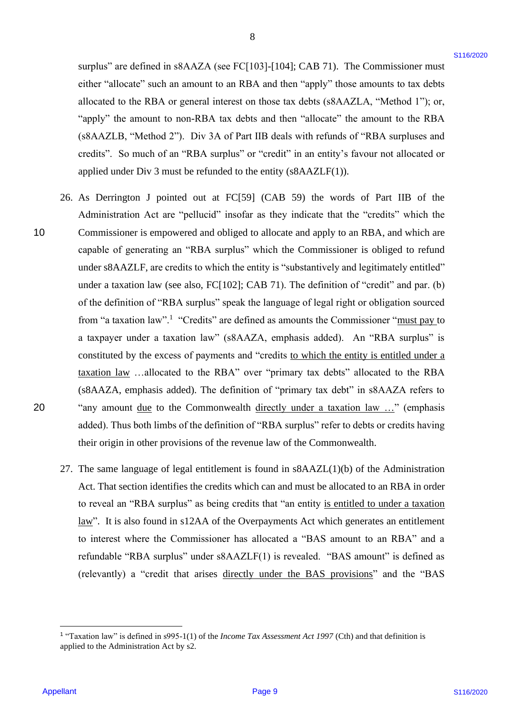surplus" are defined in s8AAZA (see FC[103]-[104]; CAB 71). The Commissioner must either "allocate" such an amount to an RBA and then "apply" those amounts to tax debts either "allocate" such an amount to an RBA and then "apply" those amounts to tax debts allocated to the RBA or general interest on those tax debts (s8AAZLA, "Method 1"); or, allocated to the RBA or general interest on those tax debts (SSAAZLA, "Method 1"); or, "apply" the amount to non-RBA tax debts and then "allocate" the amount to the RBA "apply" the amount to non-RBA tax debts and then "allocate" the amount to the RBA (s8AAZLB, "Method 2"). Div 3A of Part IIB deals with refunds of "RBA surpluses and (ssAAZLB, "Method 2"). Div 3A of Part IIB deals with refunds of "RBA surpluses and credits". So much of an "RBA surplus" or "credit" in an entity's favour not allocated or credits". So much of an "RBA surplus" or "credit" in an entity's favour not allocated or applied under Div 3 must be refunded to the entity (s8AAZLF(1)).

- 26. As Derrington J pointed out at FC[59] (CAB 59) the words of Part IIB of the 26. As Derrington <sup>J</sup> pointed out at FC[59] (CAB 59) the words of Part IIB of the Administration Act are "pellucid" insofar as they indicate that the "credits" which the Administration Act are "pellucid" insofar as they indicate that the "credits" which the 10 Commissioner is empowered and obliged to allocate and apply to an RBA, and which are Commissioner is empowered and obliged to allocate and apply to an RBA, and which are capable of generating an "RBA surplus" which the Commissioner is obliged to refund capable of generating an "RBA surplus" which the Commissioner is obliged to refund under s8AAZLF, are credits to which the entity is "substantively and legitimately entitled" under ssAAZLF, are credits to which the entity is "substantively and legitimately entitled" under a taxation law (see also, FC[102]; CAB 71). The definition of "credit" and par. (b) under a taxation law (see also, FC[102]; CAB 71). The definition of "credit" and par. (b) of the definition of "RBA surplus" speak the language of legal right or obligation sourced of the definition of "RBA surplus" speak the language of legal right or obligation sourced from "a taxation law".<sup>1</sup> "Credits" are defined as amounts the Commissioner "must pay to a taxpayer under a taxation law" (s8AAZA, emphasis added). An "RBA surplus" is a taxpayer under <sup>a</sup> taxation law" (ssAAZA, emphasis added). An "RBA surplus" is constituted by the excess of payments and "credits to which the entity is entitled under a taxation law …allocated to the RBA" over "primary tax debts" allocated to the RBA taxation law ...allocated to the RBA" over "primary tax debts" allocated to the RBA (s8AAZA, emphasis added). The definition of "primary tax debt" in s8AAZA refers to (sSAAZA, emphasis added). The definition of "primary tax debt" in ssAAZA refers to 20 "any amount due to the Commonwealth directly under a taxation law ..." (emphasis added). Thus both limbs of the definition of "RBA surplus" refer to debts or credits having added). Thus both limbs of the definition of "RBA surplus" refer to debts or credits having their origin in other provisions of the revenue law of the Commonwealth. their origin in other provisions of the revenue law of the Commonwealth. stuples" are defined in stAAZA (see FC[103]-11011; CAB 71). The Commissioner ansate<br>
rether "allocals" such a amount to an little and the "alpty" home track of the state and in the state<br>
allocate "the amount to rether th 10
	- 27. The same language of legal entitlement is found in s8AAZL(1)(b) of the Administration 27. The same language of legal entitlement is found in ssAAZL(1)(b) of the Administration Act. That section identifies the credits which can and must be allocated to an RBA in order Act. That section identifies the credits which can and must be allocated to an RBA in order to reveal an "RBA surplus" as being credits that "an entity is entitled to under a taxation law". It is also found in s12AA of the Overpayments Act which generates an entitlement to interest where the Commissioner has allocated a "BAS amount to an RBA" and a refundable "RBA surplus" under s8AAZLF(1) is revealed. "BAS amount" is defined as refundable "RBA surplus" under ssAAZLF(1) is revealed. "BAS amount" is defined as (relevantly) a "credit that arises directly under the BAS provisions" and the "BAS (relevantly) a "credit that arises directly under the BAS provisions" and the "BAS

<sup>&</sup>lt;sup>1</sup> "Taxation law" is defined in s995-1(1) of the *Income Tax Assessment Act 1997* (Cth) and that definition is applied to the Administration Act by s2. applied to the Administration Act by s2.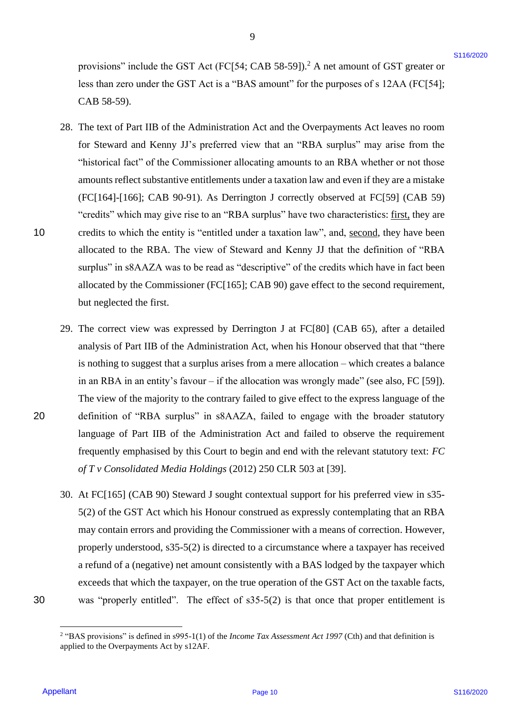provisions" include the GST Act (FC[54; CAB 58-59]).<sup>2</sup> A net amount of GST greater or less than zero under the GST Act is a "BAS amount" for the purposes of s 12AA (FC[54]; less than zero under the GST Act is <sup>a</sup> "BAS amount" for the purposes of <sup>s</sup> 12AA (FC[54]; CAB 58-59). CAB 58-59).

9

- 28. The text of Part IIB of the Administration Act and the Overpayments Act leaves no room 28. The text of Part IIB of the Administration Act and the Overpayments Act leaves no room for Steward and Kenny JJ's preferred view that an "RBA surplus" may arise from the "historical fact" of the Commissioner allocating amounts to an RBA whether or not those "historical fact" of the Commissioner allocating amounts to an RBA whether or not those amounts reflect substantive entitlements under a taxation law and even if they are a mistake amounts reflect substantive entitlements under <sup>a</sup>taxation law and even ifthey are <sup>a</sup> mistake (FC[164]-[166]; CAB 90-91). As Derrington J correctly observed at FC[59] (CAB 59) (FC[164]-[166]; CAB 90-91). As Derrington J correctly observed at FC[59] (CAB 59) "credits" which may give rise to an "RBA surplus" have two characteristics: first, they are 10 credits to which the entity is "entitled under a taxation law", and, second, they have been allocated to the RBA. The view of Steward and Kenny JJ that the definition of "RBA allocated to the RBA. The view of Steward and Kenny JJ that the definition of "RBA surplus" in s8AAZA was to be read as "descriptive" of the credits which have in fact been allocated by the Commissioner (FC[165]; CAB 90) gave effect to the second requirement, allocated by the Commissioner (FC[165]; CAB 90) gave effect to the second requirement, but neglected the first. but neglected the first. provides are include the GST Act (FC[54], CAB 58-591).<sup>3</sup> A act amount of GST genere or<br>these thus react under that (NY r at  $\alpha$  = T47A) amount of the the purposes of  $\kappa$  12AA (FC] 84];<br>
The last of Partill in the Auto
- 29. The correct view was expressed by Derrington J at FC[80] (CAB 65), after a detailed 29. The correct view was expressed by Derrington <sup>J</sup> at FC[80] (CAB 65), after <sup>a</sup> detailed analysis of Part IIB of the Administration Act, when his Honour observed that that "there analysis of Part IIB of the Administration Act, when his Honour observed that that "there is nothing to suggest that a surplus arises from a mere allocation – which creates a balance is nothing to suggest that <sup>a</sup> surplus arises from <sup>a</sup> mere allocation —which creates <sup>a</sup> balance in an RBA in an entity's favour – if the allocation was wrongly made" (see also, FC [59]). in an RBA in an entity's favour —ifthe allocation was wrongly made" (see also, FC [59]). The view of the majority to the contrary failed to give effect to the express language of the The view of the majority to the contrary failed to give effect to the express language of the 20 definition of "RBA surplus" in s8AAZA, failed to engage with the broader statutory definition of "RBA surplus" in ssAAZA, failed to engage with the broader statutory language of Part IIB of the Administration Act and failed to observe the requirement language of Part IIB of the Administration Act and failed to observe the requirement frequently emphasised by this Court to begin and end with the relevant statutory text: *FC*  frequently emphasised by this Court to begin and end with the relevant statutory text: FC *of T v Consolidated Media Holdings* (2012) 250 CLR 503 at [39]. of T v Consolidated Media Holdings (2012) 250 CLR 503 at [39].
- 30. At FC[165] (CAB 90) Steward J sought contextual support for his preferred view in s35- 30. At FC[165] (CAB 90) Steward <sup>J</sup> sought contextual support for his preferred view in s35- 5(2) of the GST Act which his Honour construed as expressly contemplating that an RBA 5(2) of the GST Act which his Honour construed as expressly contemplating that an RBA may contain errors and providing the Commissioner with a means of correction. However, may contain errors and providing the Commissioner with a means of correction. However, properly understood, s35-5(2) is directed to a circumstance where a taxpayer has received properly understood, s35-5(2) is directed to <sup>a</sup> circumstance where a taxpayer has received a refund of a (negative) net amount consistently with a BAS lodged by the taxpayer which a refund of <sup>a</sup> (negative) net amount consistently with a BAS lodged by the taxpayer which exceeds that which the taxpayer, on the true operation of the GST Act on the taxable facts, exceeds that which the taxpayer, on the true operation of the GST Act on the taxable facts, 30 was "properly entitled". The effect of s35-5(2) is that once that proper entitlement is was "properly entitled". The effect of s35-5(2) is that once that proper entitlement is

30

<sup>&</sup>lt;sup>2</sup> "BAS provisions" is defined in s995-1(1) of the *Income Tax Assessment Act 1997* (Cth) and that definition is applied to the Overpayments Act by s12AF. applied to the Overpayments Act by s12AF.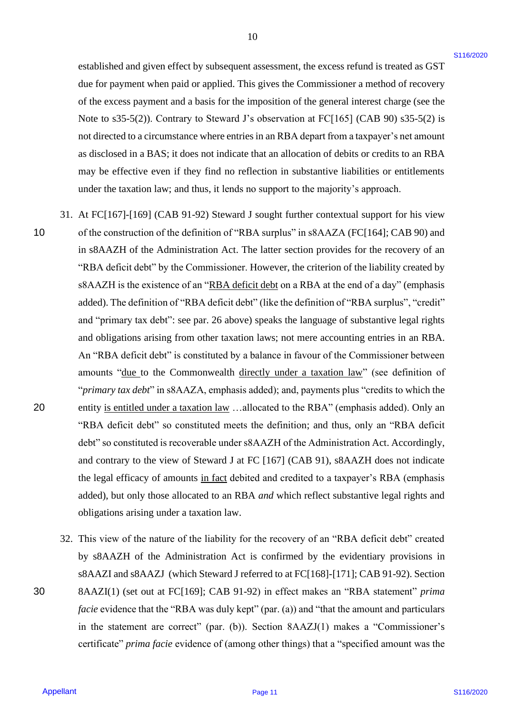established and given effect by subsequent assessment, the excess refund is treated as GST due for payment when paid or applied. This gives the Commissioner a method of recovery due for payment when paid or applied. This gives the Commissioner a method of recovery of the excess payment and a basis for the imposition of the general interest charge (see the of the excess payment and abasis for the imposition of the general interest charge (see the Note to s35-5(2)). Contrary to Steward J's observation at FC[165] (CAB 90) s35-5(2) is Note to s35-5(2)). Contrary to Steward J's observation at FC[165] (CAB 90) s35-5(2) is not directed to a circumstance where entries in an RBA depart from a taxpayer's net amount not directed to a circumstance where entries in an RBA depart from ataxpayer's net amount as disclosed in a BAS; it does not indicate that an allocation of debits or credits to an RBA as disclosed in a BAS; it does not indicate that an allocation of debits or credits to an RBA may be effective even if they find no reflection in substantive liabilities or entitlements may be effective even if they find no reflection in substantive liabilities or entitlements under the taxation law; and thus, it lends no support to the majority's approach. under the taxation law; and thus, it lends no support to the majority's approach.

- 31. At FC[167]-[169] (CAB 91-92) Steward J sought further contextual support for his view 31. At FC[167]-[169] (CAB 91-92) Steward <sup>J</sup> sought further contextual support for his view 10 of the construction of the definition of "RBA surplus" in s8AAZA (FC[164]; CAB 90) and in s8AAZH of the Administration Act. The latter section provides for the recovery of an "RBA deficit debt" by the Commissioner. However, the criterion of the liability created by "RBA deficit debt" by the Commissioner. However, the criterion of the liability created by s8AAZH is the existence of an "RBA deficit debt on a RBA at the end of a day" (emphasis added). The definition of "RBA deficit debt" (like the definition of "RBA surplus", "credit" added). The definition of "RBA deficit debt" (like the definition of"RBA surplus", "credit" and "primary tax debt": see par. 26 above) speaks the language of substantive legal rights and "primary tax debt": see par. 26 above) speaks the language of substantive legal rights and obligations arising from other taxation laws; not mere accounting entries in an RBA. and obligations arising from other taxation laws; not mere accounting entries in an RBA. An "RBA deficit debt" is constituted by a balance in favour of the Commissioner between An "RBA deficit debt" is constituted by a balance in favour of the Commissioner between amounts "due to the Commonwealth directly under a taxation law" (see definition of "*primary tax debt*" in s8AAZA, emphasis added); and, payments plus "credits to which the 20 entity is entitled under a taxation law ...allocated to the RBA" (emphasis added). Only an "RBA deficit debt" so constituted meets the definition; and thus, only an "RBA deficit "RBA deficit debt" so constituted meets the definition; and thus, only an "RBA deficit debt" so constituted is recoverable under s8AAZH of the Administration Act. Accordingly, debt" so constituted is recoverable under ssAAZH ofthe Administration Act. Accordingly, and contrary to the view of Steward J at FC [167] (CAB 91), s8AAZH does not indicate and contrary to the view of Steward <sup>J</sup> at FC [167] (CAB 91), ssAAZH does not indicate the legal efficacy of amounts in fact debited and credited to a taxpayer's RBA (emphasis added), but only those allocated to an RBA *and* which reflect substantive legal rights and obligations arising under a taxation law. obligations arising under <sup>a</sup> taxation law. established and given effect by subsequent assessment, the excess refund is located as GST<br>the "ar-paysent subset polynetic This given hele Correlations en treded of metromy<br>of the Cocks popunera and a basis for the impos 10 20
- 32. This view of the nature of the liability for the recovery of an "RBA deficit debt" created 32. This view of the nature of the liability for the recovery of an "RBA deficit debt" created by s8AAZH of the Administration Act is confirmed by the evidentiary provisions in by s8AAZH of the Administration Act is confirmed by the evidentiary provisions in s8AAZI and s8AAZJ (which Steward J referred to at FC[168]-[171]; CAB 91-92). Section s8AAZI and ssAAZJ (which Steward <sup>J</sup> referred to at FC[168]-[171]; CAB 91-92). Section 30 8AAZI(1) (set out at FC[169]; CAB 91-92) in effect makes an "RBA statement" *prima*  8AAZI(1) (set out at FC[169]; CAB 91-92) in effect makes an "RBA statement" prima *facie* evidence that the "RBA was duly kept" (par. (a)) and "that the amount and particulars in the statement are correct" (par. (b)). Section 8AAZJ(1) makes a "Commissioner's in the statement are correct" (par. (b)). Section 8AAZJ(1) makes <sup>a</sup> "Commissioner's certificate" *prima facie* evidence of (among other things) that a "specified amount was the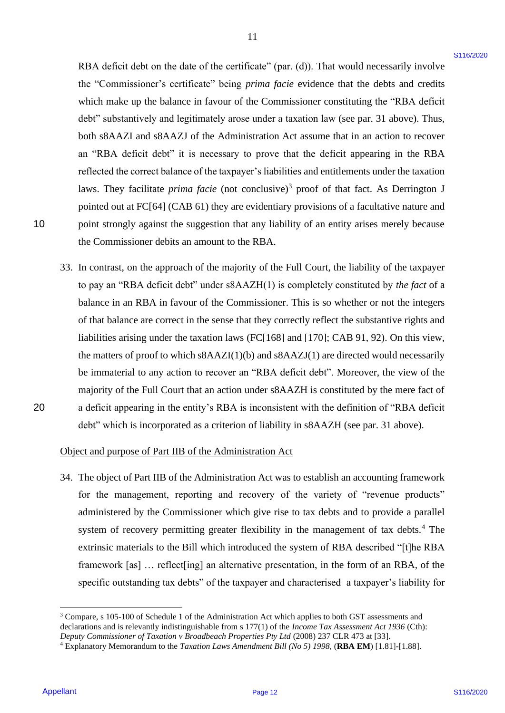RBA deficit debt on the date of the certificate" (par. (d)). That would necessarily involve the "Commissioner's certificate" being *prima facie* evidence that the debts and credits the "Commissioner's certificate" being prima facie evidence that the debts and credits which make up the balance in favour of the Commissioner constituting the "RBA deficit which make up the balance in favour of the Commissioner constituting the "RBA deficit debt" substantively and legitimately arose under a taxation law (see par. 31 above). Thus, debt" substantively and legitimately arose under <sup>a</sup> taxation law (see par. 31 above). Thus, both s8AAZI and s8AAZJ of the Administration Act assume that in an action to recover both s8AAZI and s8AAZJ of the Administration Act assume that in an action to recover an "RBA deficit debt" it is necessary to prove that the deficit appearing in the RBA an "RBA deficit debt" it is necessary to prove that the deficit appearing in the RBA reflected the correct balance of the taxpayer's liabilities and entitlements under the taxation reflected the correct balance of the taxpayer's liabilities and entitlements under the taxation laws. They facilitate *prima facie* (not conclusive)<sup>3</sup> proof of that fact. As Derrington J pointed out at FC[64] (CAB 61) they are evidentiary provisions of a facultative nature and pointed out at FC[64] (CAB 61) they are evidentiary provisions of <sup>a</sup> facultative nature and 10 point strongly against the suggestion that any liability of an entity arises merely because point strongly against the suggestion that any liability of an entity arises merely because the Commissioner debits an amount to the RBA. the Commissioner debits an amount to the RBA. RBA definit doit on the due of the certificate" (part (d)). That would accossatily involve<br>the "Commissionne of certification" here) gives doive "retistens that the this small critical particles"<br>which makes up the balanc

11 11

33. In contrast, on the approach of the majority of the Full Court, the liability of the taxpayer 33. In contrast, on the approach of the majority of the Full Court, the liability of the taxpayer to pay an "RBA deficit debt" under s8AAZH(1) is completely constituted by *the fact* of a balance in an RBA in favour of the Commissioner. This is so whether or not the integers balance in an RBA in favour of the Commissioner. This is so whether or not the integers of that balance are correct in the sense that they correctly reflect the substantive rights and of that balance are correct in the sense that they correctly reflect the substantive rights and liabilities arising under the taxation laws (FC[168] and [170]; CAB 91, 92). On this view, liabilities arising under the taxation laws (FC[168] and [170]; CAB 91, 92). On this view, the matters of proof to which s8AAZI(1)(b) and s8AAZJ(1) are directed would necessarily the matters of proofto which s8AAZI(1)(b) and ssAAZJ(1) are directed would necessarily be immaterial to any action to recover an "RBA deficit debt". Moreover, the view of the be immaterial to any action to recover an "RBA deficit debt". Moreover, the view of the majority of the Full Court that an action under s8AAZH is constituted by the mere fact of 20 a deficit appearing in the entity's RBA is inconsistent with the definition of "RBA deficit a deficit appearing in the entity's RBA is inconsistent with the definition of "RBA deficit debt" which is incorporated as a criterion of liability in s8AAZH (see par. 31 above). debt" which is incorporated as <sup>a</sup> criterion of liability in ssAAZH (see par. 31 above).

20

10

## Object and purpose of Part IIB of the Administration Act Object and purpose of Part IIB of the Administration Act

34. The object of Part IIB of the Administration Act was to establish an accounting framework 34. The object of Part IIB of the Administration Act was to establish an accounting framework for the management, reporting and recovery of the variety of "revenue products" administered by the Commissioner which give rise to tax debts and to provide a parallel administered by the Commissioner which give rise to tax debts and to provide <sup>a</sup> parallel system of recovery permitting greater flexibility in the management of tax debts.<sup>4</sup> The extrinsic materials to the Bill which introduced the system of RBA described "[t]he RBA extrinsic materials to the Bill which introduced the system of RBA described "[t]he RBA framework [as] … reflect[ing] an alternative presentation, in the form of an RBA, of the framework [as] ... reflect[ing] an alternative presentation, in the form of an RBA, of the specific outstanding tax debts" of the taxpayer and characterised a taxpayer's liability for specific outstanding tax debts" of the taxpayer and characterised <sup>a</sup> taxpayer's liability for

 $3$  Compare, s 105-100 of Schedule 1 of the Administration Act which applies to both GST assessments and declarations and is relevantly indistinguishable from s 177(1) of the *Income Tax Assessment Act 1936* (Cth): declarations and is relevantly indistinguishable from s 177(1) of the Income Tax Assessment Act 1936 (Cth): *Deputy Commissioner of Taxation v Broadbeach Properties Pty Ltd* (2008) 237 CLR 473 at [33]. Deputy Commissioner of Taxation v Broadbeach Properties Pty Ltd (2008) 237 CLR 473 at [33].

<sup>4</sup> Explanatory Memorandum to the *Taxation Laws Amendment Bill (No 5) 1998*, (**RBA EM**) [1.81]-[1.88]. 4Explanatory Memorandum to the Taxation Laws Amendment Bill (No 5) 1998, (RBA EM) [1.81]-[1.88].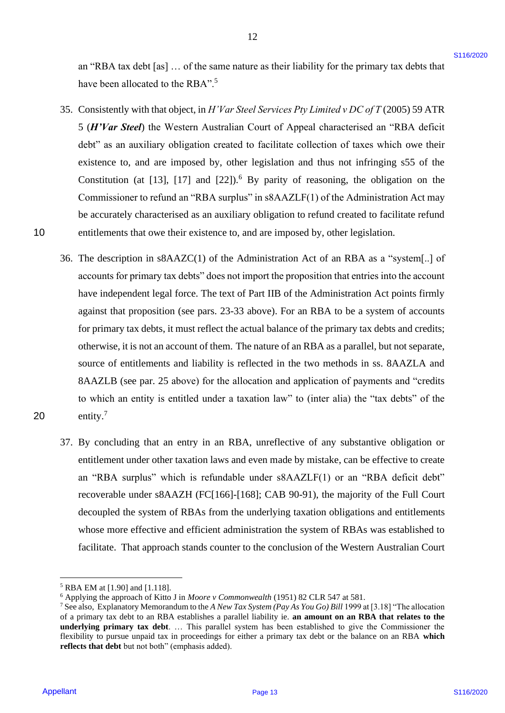an "RBA tax debt [as] ... of the same nature as their liability for the primary tax debts that have been allocated to the RBA".<sup>5</sup>

12 12

- 35. Consistently with that object, in *H'Var Steel Services Pty Limited v DC of T* (2005) 59 ATR 35. Consistently with that object, in H'Var Steel Services Pty Limited v DC ofT (2005) 59 ATR 5 (*H'Var Steel*) the Western Australian Court of Appeal characterised an "RBA deficit <sup>5</sup> (H'Var Steel) the Western Australian Court of Appeal characterised an "RBA deficit debt" as an auxiliary obligation created to facilitate collection of taxes which owe their debt" as an auxiliary obligation created to facilitate collection of taxes which owe their existence to, and are imposed by, other legislation and thus not infringing s55 of the existence to, and are imposed by, other legislation and thus not infringing s55 of the Constitution (at [13], [17] and  $[22]$ ).<sup>6</sup> By parity of reasoning, the obligation on the Commissioner to refund an "RBA surplus" in s8AAZLF(1) of the Administration Act may Commissioner to refund an "RBA surplus" in ssAAZLF(1) of the Administration Act may be accurately characterised as an auxiliary obligation to refund created to facilitate refund be accurately characterised as an auxiliary obligation to refund created to facilitate refund 10 entitlements that owe their existence to, and are imposed by, other legislation.
- 36. The description in s8AAZC(1) of the Administration Act of an RBA as a "system[..] of 36. The description in ssAAZC(1) of the Administration Act of an RBA as <sup>a</sup> "system[..] of accounts for primary tax debts" does not import the proposition that entries into the account accounts for primary tax debts" does not import the proposition that entries into the account have independent legal force. The text of Part IIB of the Administration Act points firmly have independent legal force. The text of Part IIB of the Administration Act points firmly against that proposition (see pars. 23-33 above). For an RBA to be a system of accounts against that proposition (see pars. 23-33 above). For an RBA to be a system of accounts for primary tax debts, it must reflect the actual balance of the primary tax debts and credits; for primary tax debts, it must reflect the actual balance of the primary tax debts and credits; otherwise, it is not an account of them. The nature of an RBA as a parallel, but not separate, source of entitlements and liability is reflected in the two methods in ss. 8AAZLA and 8AAZLB (see par. 25 above) for the allocation and application of payments and "credits S8AAZLB (see par. 25 above) for the allocation and application of payments and "credits to which an entity is entitled under a taxation law" to (inter alia) the "tax debts" of the to which an entity is entitled under a taxation law" to (inter alia) the "tax debts" of the 20  $entity.<sup>7</sup>$ an "RBA tax dolt [aa] ... of the same nature as their liability for the primary tax doles fast<br>have been allocated to the IEHA?<sup>2</sup><br>S. Consistencibly with this choice in  $B^2$  Reel Services *Psy Learted vDC of T* (2005) 59
- 20

10

37. By concluding that an entry in an RBA, unreflective of any substantive obligation or 37. By concluding that an entry in an RBA, unreflective of any substantive obligation or entitlement under other taxation laws and even made by mistake, can be effective to create an "RBA surplus" which is refundable under s8AAZLF(1) or an "RBA deficit debt" recoverable under s8AAZH (FC[166]-[168]; CAB 90-91), the majority of the Full Court recoverable under ssAAZH (FC[166]-[168]; CAB 90-91), the majority of the Full Court decoupled the system of RBAs from the underlying taxation obligations and entitlements decoupled the system of RBAs from the underlying taxation obligations and entitlements whose more effective and efficient administration the system of RBAs was established to whose more effective and efficient administration the system of RBAs was established to facilitate. That approach stands counter to the conclusion of the Western Australian Court facilitate. That approach stands counter to the conclusion of the Western Australian Court

<sup>5</sup> RBA EM at [1.90] and [1.118]. >RBA EM at [1.90] and [1.118].

<sup>&</sup>lt;sup>6</sup> Applying the approach of Kitto J in *Moore v Commonwealth* (1951) 82 CLR 547 at 581.

<sup>&</sup>lt;sup>7</sup> See also, Explanatory Memorandum to the A New Tax System (Pay As You Go) Bill 1999 at [3.18] "The allocation of a primary tax debt to an RBA establishes a parallel liability ie. an amount on an RBA that relates to the **underlying primary tax debt**. … This parallel system has been established to give the Commissioner the underlying primary tax debt. ... This parallel system has been established to give the Commissioner the flexibility to pursue unpaid tax in proceedings for either a primary tax debt or the balance on an RBA which reflects that debt but not both" (emphasis added).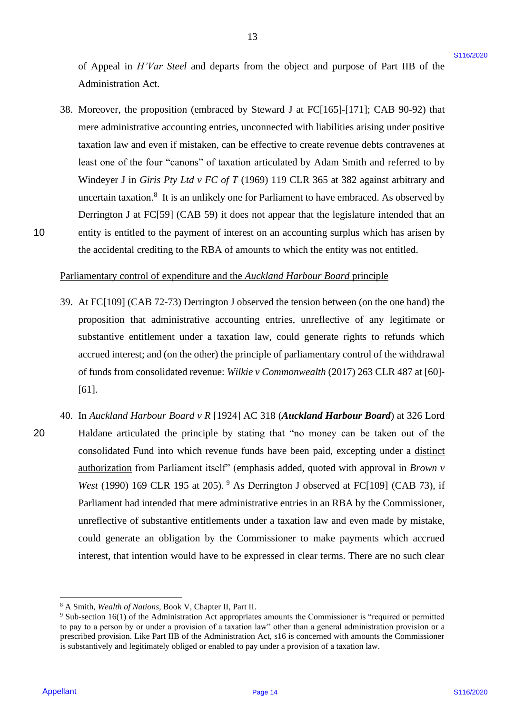of Appeal in *H'Var Steel* and departs from the object and purpose of Part IIB of the Administration Act. Administration Act.

38. Moreover, the proposition (embraced by Steward J at FC[165]-[171]; CAB 90-92) that 38. Moreover, the proposition (embraced by Steward J at FC[165]-[171]; CAB 90-92) that mere administrative accounting entries, unconnected with liabilities arising under positive mere administrative accounting entries, unconnected with liabilities arising under positive taxation law and even if mistaken, can be effective to create revenue debts contravenes at taxation law and even if mistaken, can be effective to create revenue debts contravenes at least one of the four "canons" of taxation articulated by Adam Smith and referred to by least one of the four "canons" of taxation articulated by Adam Smith and referred to by Windeyer J in *Giris Pty Ltd v FC of T* (1969) 119 CLR 365 at 382 against arbitrary and Windeyer <sup>J</sup> in Giris Pty Ltd v FC of T(1969) 119 CLR 365 at 382 against arbitrary and uncertain taxation. 8 It is an unlikely one for Parliament to have embraced. As observed by uncertain taxation.® It is an unlikely one for Parliament to have embraced. As observed by Derrington J at FC[59] (CAB 59) it does not appear that the legislature intended that an Derrington J at FC[59] (CAB 59) it does not appear that the legislature intended that an 10 entity is entitled to the payment of interest on an accounting surplus which has arisen by the accidental crediting to the RBA of amounts to which the entity was not entitled. the accidental crediting to the RBA of amounts to which the entity was not entitled.

### Parliamentary control of expenditure and the *Auckland Harbour Board* principle

- 39. At FC[109] (CAB 72-73) Derrington J observed the tension between (on the one hand) the 39. At FC[109] (CAB 72-73) Derrington <sup>J</sup> observed the tension between (on the one hand) the proposition that administrative accounting entries, unreflective of any legitimate or proposition that administrative accounting entries, unreflective of any legitimate or substantive entitlement under a taxation law, could generate rights to refunds which substantive entitlement under a taxation law, could generate rights to refunds which accrued interest; and (on the other) the principle of parliamentary control of the withdrawal accrued interest; and (on the other) the principle of parliamentary control of the withdrawal of funds from consolidated revenue: Wilkie v Commonwealth (2017) 263 CLR 487 at [60]-[61]. [61].
- 40. In *Auckland Harbour Board v R* [1924] AC 318 (*Auckland Harbour Board*) at 326 Lord 40. In Auckland Harbour Board v R [1924] AC 318 (Auckland Harbour Board) at 326 Lord 20 Haldane articulated the principle by stating that "no money can be taken out of the Haldane articulated the principle by stating that "no money can be taken out of the consolidated Fund into which revenue funds have been paid, excepting under a distinct authorization from Parliament itself" (emphasis added, quoted with approval in *Brown v*  authorization from Parliament itself' (emphasis added, quoted with approval in Brown v West (1990) 169 CLR 195 at 205). <sup>9</sup> As Derrington J observed at FC[109] (CAB 73), if Parliament had intended that mere administrative entries in an RBA by the Commissioner, Parliament had intended that mere administrative entries in an RBA by the Commissioner, unreflective of substantive entitlements under a taxation law and even made by mistake, unreflective of substantive entitlements under a taxation law and even made by mistake, could generate an obligation by the Commissioner to make payments which accrued interest, that intention would have to be expressed in clear terms. There are no such clear interest, that intention would have to be expressed in clear terms. There are no such clear of Appeal in *H*Fivo Steel and depents from the object and puppose of Pan IBs of the Ahmeterianium Act<br>Administration Act<br>Administration Acts<br>Administration Contentral Acts<br>SS. Moreover, the proposition (can<br>beneficely Se 20

<sup>&</sup>lt;sup>8</sup> A Smith, *Wealth of Nations*, Book V, Chapter II, Part II.

 $9$  Sub-section 16(1) of the Administration Act appropriates amounts the Commissioner is "required or permitted to pay to a person by or under a provision of a taxation law" other than a general administration provision or a prescribed provision. Like Part IIB of the Administration Act, s16 is concerned with amounts the Commissioner prescribed provision. Like Part IB of the Administration Act, s16 is concerned with amounts the Commissioner is substantively and legitimately obliged or enabled to pay under a provision of a taxation law. is substantively and legitimately obliged or enabled to pay undera provision of a taxation law.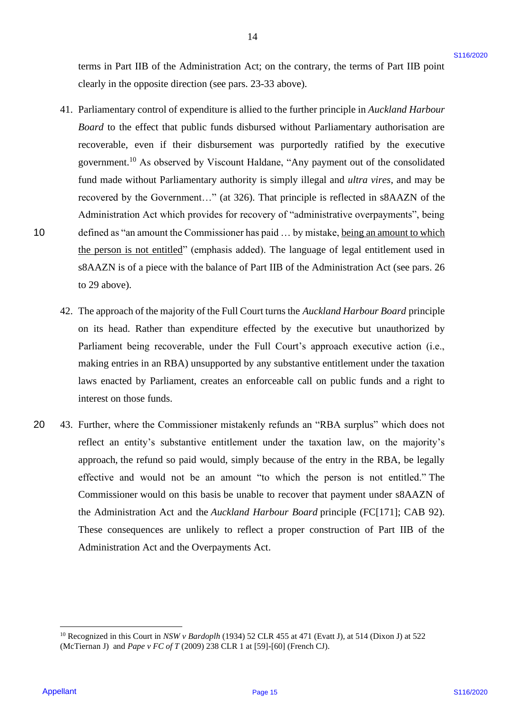terms in Part IIB of the Administration Act; on the contrary, the terms of Part IIB point clearly in the opposite direction (see pars. 23-33 above). clearly in the opposite direction (see pars. 23-33 above).

- 41. Parliamentary control of expenditure is allied to the further principle in *Auckland Harbour*  41. Parliamentary control of expenditure is allied to the further principle in Auckland Harbour Board to the effect that public funds disbursed without Parliamentary authorisation are recoverable, even if their disbursement was purportedly ratified by the executive recoverable, even if their disbursement was purportedly ratified by the executive government.<sup>10</sup> As observed by Viscount Haldane, "Any payment out of the consolidated fund made without Parliamentary authority is simply illegal and *ultra vires*, and may be recovered by the Government..." (at 326). That principle is reflected in s8AAZN of the Administration Act which provides for recovery of "administrative overpayments", being Administration Act which provides for recovery of "administrative overpayments", being 10 defined as "an amount the Commissioner has paid ... by mistake, being an amount to which the person is not entitled" (emphasis added). The language of legal entitlement used in s8AAZN is of a piece with the balance of Part IIB of the Administration Act (see pars. 26 s8AAZN is of a piece with the balance of Part IIB of the Administration Act (see pars. 26 to 29 above). to 29 above). texus in Part IIB of the Administration Act: on the contexty, the terms of Part IIB point<br>clearly in the opposite direction (see parts. 21.33 above).<br>
41. Pathamaxany context of expendition is alicid to the farther princi
	- 42. The approach of the majority of the Full Court turns the *Auckland Harbour Board* principle 42. The approach of the majority of the Full Court turns the Auckland Harbour Board principle on its head. Rather than expenditure effected by the executive but unauthorized by on its head. Rather than expenditure effected by the executive but unauthorized by Parliament being recoverable, under the Full Court's approach executive action (i.e., Parliament being recoverable, under the Full Court's approach executive action (i.e., making entries in an RBA) unsupported by any substantive entitlement under the taxation making entries in an RBA) unsupported by any substantive entitlement under the taxation laws enacted by Parliament, creates an enforceable call on public funds and a right to laws enacted by Parliament, creates an enforceable call on public funds and <sup>a</sup> right to interest on those funds. interest on those funds.
- 20 43. Further, where the Commissioner mistakenly refunds an "RBA surplus" which does not 20 <sup>=</sup> 43. Further, where the Commissioner mistakenly refunds an "RBA surplus" which does not reflect an entity's substantive entitlement under the taxation law, on the majority's reflect an entity's substantive entitlement under the taxation law, on the majority's approach, the refund so paid would, simply because of the entry in the RBA, be legally approach, the refund so paid would, simply because of the entry in the RBA, be legally effective and would not be an amount "to which the person is not entitled." The effective and would not be an amount "to which the person is not entitled." The Commissioner would on this basis be unable to recover that payment under s8AAZN of Commissioner would on this basis be unable to recover that payment under ssAAZN of the Administration Act and the *Auckland Harbour Board* principle (FC[171]; CAB 92). the Administration Act and the Auckland Harbour Board principle (FC[171]; CAB 92). These consequences are unlikely to reflect a proper construction of Part IIB of the These consequences are unlikely to reflect <sup>a</sup> proper construction of Part IIB of the Administration Act and the Overpayments Act. Administration Act and the Overpayments Act.

<sup>&</sup>lt;sup>10</sup> Recognized in this Court in *NSW v Bardoplh* (1934) 52 CLR 455 at 471 (Evatt J), at 514 (Dixon J) at 522 (McTiernan J) and *Pape v FC of T* (2009) 238 CLR 1 at [59]-[60] (French CJ). (McTiernan J) and Pape <sup>v</sup> FC of <sup>T</sup> (2009) <sup>238</sup> CLR1 at [59]-[60] (French CJ).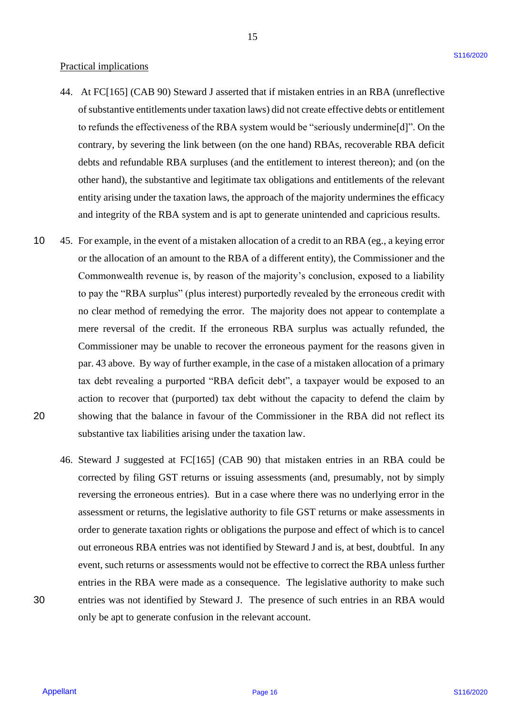### Practical implications Practical implications

- 44. At FC[165] (CAB 90) Steward J asserted that if mistaken entries in an RBA (unreflective 44. At FC[165] (CAB 90) Steward <sup>J</sup> asserted that if mistaken entries in an RBA (unreflective of substantive entitlements under taxation laws) did not create effective debts or entitlement of substantive entitlements under taxation laws) did not create effective debts or entitlement to refunds the effectiveness of the RBA system would be "seriously undermine[d]". On the to refunds the effectiveness of the RBA system would be "seriously undermine[d]". On the contrary, by severing the link between (on the one hand) RBAs, recoverable RBA deficit debts and refundable RBA surpluses (and the entitlement to interest thereon); and (on the debts and refundable RBA surpluses (and the entitlement to interest thereon); and (on the other hand), the substantive and legitimate tax obligations and entitlements of the relevant entity arising under the taxation laws, the approach of the majority undermines the efficacy entity arising under the taxation laws, the approach of the majority undermines the efficacy and integrity of the RBA system and is apt to generate unintended and capricious results. and integrity of the RBA system and is apt to generate unintended and capricious results.
- 10 45. For example, in the event of a mistaken allocation of a credit to an RBA (eg., a keying error 10 45. For example, in the event of <sup>a</sup> mistaken allocation of a credit to an RBA (eg., a keying erroror the allocation of an amount to the RBA of a different entity), the Commissioner and the Commonwealth revenue is, by reason of the majority's conclusion, exposed to a liability Commonwealth revenue is, by reason of the majority's conclusion, exposed to a liability to pay the "RBA surplus" (plus interest) purportedly revealed by the erroneous credit with no clear method of remedying the error. The majority does not appear to contemplate a no clear method of remedying the error. The majority does not appear to contemplate <sup>a</sup> mere reversal of the credit. If the erroneous RBA surplus was actually refunded, the mere reversal of the credit. If the erroneous RBA surplus was actually refunded, the Commissioner may be unable to recover the erroneous payment for the reasons given in Commissioner may be unable to recover the erroneous payment for the reasons given in par. 43 above. By way of further example, in the case of a mistaken allocation of a primary par. 43 above. By way of further example, in the case of a mistaken allocation of <sup>a</sup> primary tax debt revealing a purported "RBA deficit debt", a taxpayer would be exposed to an tax debt revealing <sup>a</sup> purported "RBA deficit debt", a taxpayer would be exposed to an action to recover that (purported) tax debt without the capacity to defend the claim by action to recover that (purported) tax debt without the capacity to defend the claim by 20 showing that the balance in favour of the Commissioner in the RBA did not reflect its showing that the balance in favour of the Commissioner in the RBA did not reflect its substantive tax liabilities arising under the taxation law. substantive tax liabilities arising under the taxation law. Practical implications of the matrix of the matrix in the matrix is the matrix of the matrix of the matrix of the matrix of the matrix of the matrix of the matrix of the matrix of the matrix of the matrix of the matrix of 20
- 46. Steward J suggested at FC[165] (CAB 90) that mistaken entries in an RBA could be 46. Steward <sup>J</sup> suggested at FC[165] (CAB 90) that mistaken entries in an RBA could be corrected by filing GST returns or issuing assessments (and, presumably, not by simply corrected by filing GST returns or issuing assessments (and, presumably, not by simply reversing the erroneous entries). But in a case where there was no underlying error in the assessment or returns, the legislative authority to file GST returns or make assessments in order to generate taxation rights or obligations the purpose and effect of which is to cancel out erroneous RBA entries was not identified by Steward J and is, at best, doubtful. In any event, such returns or assessments would not be effective to correct the RBA unless further event, such returns or assessments would not be effective to correct the RBA unless further entries in the RBA were made as a consequence. The legislative authority to make such 30 entries was not identified by Steward J. The presence of such entries in an RBA would entries was not identified by Steward J. The presence of such entries in an RBA would only be apt to generate confusion in the relevant account. only be apt to generate confusion in the relevant account.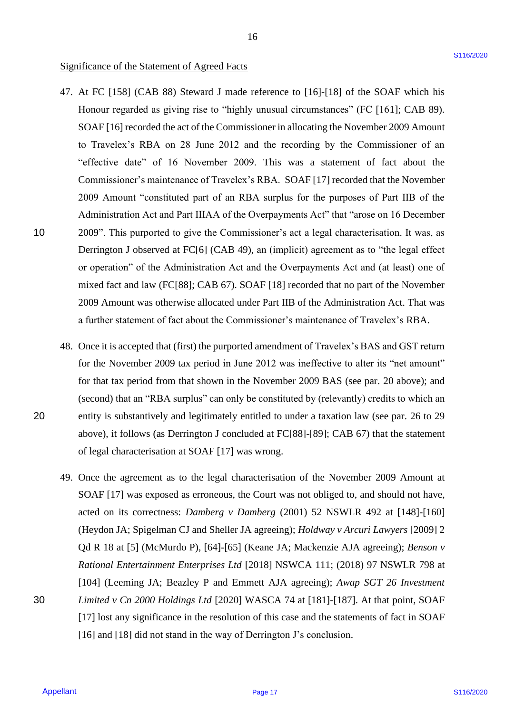## Significance of the Statement of Agreed Facts Significance of the Statement of Agreed Facts

- 47. At FC [158] (CAB 88) Steward J made reference to [16]-[18] of the SOAF which his 47. At FC [158] (CAB 88) Steward <sup>J</sup> made reference to [16]-[18] of the SOAF which his Honour regarded as giving rise to "highly unusual circumstances" (FC [161]; CAB 89). Honour regarded as giving rise to "highly unusual circumstances" (FC [161]; CAB 89). SOAF [16] recorded the act of the Commissioner in allocating the November 2009 Amount SOAF [16] recorded the act of the Commissioner in allocating the November 2009 Amount to Travelex's RBA on 28 June 2012 and the recording by the Commissioner of an "effective date" of 16 November 2009. This was a statement of fact about the "effective date" of 16 November 2009. This was <sup>a</sup> statement of fact about the Commissioner's maintenance of Travelex's RBA. SOAF [17] recorded that the November Commissioner's maintenance of Travelex's RBA. SOAF [17] recorded that the November 2009 Amount "constituted part of an RBA surplus for the purposes of Part IIB of the 2009 Amount "constituted part of an RBA surplus for the purposes of Part IIB of the Administration Act and Part IIIAA of the Overpayments Act" that "arose on 16 December Administration Act and Part IIIAA of the Overpayments Act" that "arose on <sup>16</sup> December 10 2009". This purported to give the Commissioner's act a legal characterisation. It was, as 2009". This purported to give the Commissioner's act <sup>a</sup> legal characterisation. It was, as Derrington J observed at FC[6] (CAB 49), an (implicit) agreement as to "the legal effect Derrington <sup>J</sup> observed at FC[6] (CAB 49), an (implicit) agreement as to "the legal effect or operation" of the Administration Act and the Overpayments Act and (at least) one of mixed fact and law (FC[88]; CAB 67). SOAF [18] recorded that no part of the November mixed fact and law (FC[88]; CAB 67). SOAF [18] recorded that no part of the November 2009 Amount was otherwise allocated under Part IIB of the Administration Act. That was 2009 Amount was otherwise allocated under Part IIB of the Administration Act. That was a further statement of fact about the Commissioner's maintenance of Travelex's RBA. a further statement of fact about the Commissioner's maintenance of Travelex's RBA. Significance of the Statement of Agreed Facts<br>
47. At 182 [158] (CAR 86) Stewart 1 rate reference in [16]-[18] of the SOAT which bis<br>
Hoost regulard as giving into the highly tension in clutting the Womenlet 2010 Area in<br>
- 48. Once it is accepted that (first) the purported amendment of Travelex's BAS and GST return 48. Once it is accepted that (first) the purported amendment of Travelex's BAS and GST return for the November 2009 tax period in June 2012 was ineffective to alter its "net amount" for the November 2009 tax period in June 2012 was ineffective to alter its "net amount" for that tax period from that shown in the November 2009 BAS (see par. 20 above); and for that tax period from that shown in the November 2009 BAS (see par. 20 above); and (second) that an "RBA surplus" can only be constituted by (relevantly) credits to which an (second) that an "RBA surplus" can only be constituted by (relevantly) credits to which an 20 entity is substantively and legitimately entitled to under a taxation law (see par. 26 to 29 entity is substantively and legitimately entitled to under <sup>a</sup> taxation law (see par. 26 to 29 above), it follows (as Derrington J concluded at FC[88]-[89]; CAB 67) that the statement above), it follows (as Derrington <sup>J</sup> concluded at FC[88]-[89]; CAB 67) that the statement of legal characterisation at SOAF [17] was wrong. of legal characterisation at SOAF [17] was wrong.
- 49. Once the agreement as to the legal characterisation of the November 2009 Amount at 49. Once the agreement as to the legal characterisation of the November 2009 Amount at SOAF [17] was exposed as erroneous, the Court was not obliged to, and should not have, SOAF [17] was exposed as erroneous, the Court was not obliged to, and should not have, acted on its correctness: *Damberg v Damberg* (2001) 52 NSWLR 492 at [148]-[160] acted on its correctness: Damberg v Damberg (2001) 52 NSWLR 492 at [148]-[160] (Heydon JA; Spigelman CJ and Sheller JA agreeing); *Holdway v Arcuri Lawyers* [2009] 2 (Heydon JA; Spigelman CJ and Sheller JA agreeing); Holdway v Arcuri Lawyers [2009] 2 Qd R 18 at [5] (McMurdo P), [64]-[65] (Keane JA; Mackenzie AJA agreeing); Benson v *Rational Entertainment Enterprises Ltd* [2018] NSWCA 111; (2018) 97 NSWLR 798 at Rational Entertainment Enterprises Ltd [2018] NSWCA 111; (2018) 97 NSWLR 798 at [104] (Leeming JA; Beazley P and Emmett AJA agreeing); *Awap SGT 26 Investment*  [104] (Leeming JA; Beazley <sup>P</sup> and Emmett AJA agreeing); Awap SGT 26 Investment 30 *Limited v Cn 2000 Holdings Ltd* [2020] WASCA 74 at [181]-[187]. At that point, SOAF Limited v Cn 2000 Holdings Ltd [2020] WASCA 74 at [181]-[187]. At that point, SOAF [17] lost any significance in the resolution of this case and the statements of fact in SOAF [17] lost any significance in the resolution of this case and the statements of fact in SOAF [16] and [18] did not stand in the way of Derrington J's conclusion. [16] and [18] did not stand in the way of Derrington J's conclusion.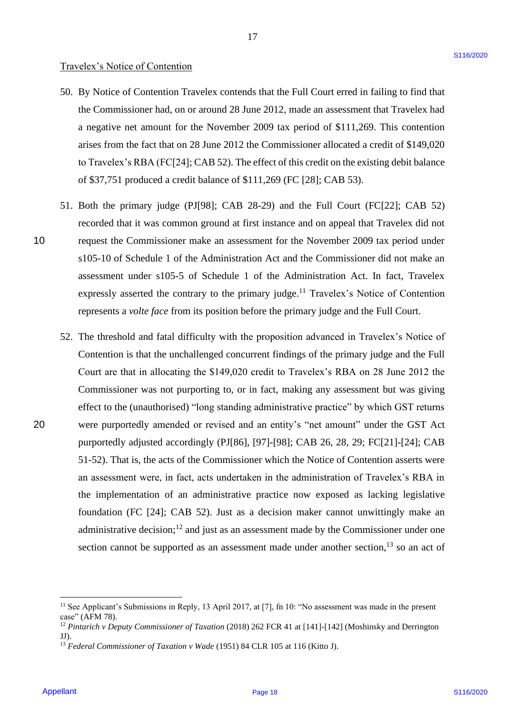### Travelex's Notice of Contention Travelex's Notice of Contention

50. By Notice of Contention Travelex contends that the Full Court erred in failing to find that 50. By Notice of Contention Travelex contends that the Full Court erred in failing to find that the Commissioner had, on or around 28 June 2012, made an assessment that Travelex had the Commissioner had, on or around 28 June 2012, made an assessment that Travelex had a negative net amount for the November 2009 tax period of \$111,269. This contention a negative net amount for the November 2009 tax period of \$111,269. This contention arises from the fact that on 28 June 2012 the Commissioner allocated a credit of \$149,020 arises from the fact that on 28 June 2012 the Commissioner allocated <sup>a</sup> credit of \$149,020 to Travelex's RBA (FC[24]; CAB 52). The effect of this credit on the existing debit balance to Travelex's RBA (FC[24]; CAB 52). The effect of this credit on the existing debit balance of \$37,751 produced a credit balance of \$111,269 (FC [28]; CAB 53). of \$37,751 produced <sup>a</sup> credit balance of \$111,269 (FC [28]; CAB 53).

17 17

- 51. Both the primary judge (PJ[98]; CAB 28-29) and the Full Court (FC[22]; CAB 52) 51. Both the primary judge (PJ[98]; CAB 28-29) and the Full Court (FC[22]; CAB 52) recorded that it was common ground at first instance and on appeal that Travelex did not 10 request the Commissioner make an assessment for the November 2009 tax period under request the Commissioner make an assessment for the November 2009 tax period under s105-10 of Schedule 1 of the Administration Act and the Commissioner did not make an assessment under s105-5 of Schedule 1 of the Administration Act. In fact, Travelex assessment under s105-5 of Schedule 1 of the Administration Act. In fact, Travelex expressly asserted the contrary to the primary judge.<sup>11</sup> Travelex's Notice of Contention represents a *volte face* from its position before the primary judge and the Full Court.
- 52. The threshold and fatal difficulty with the proposition advanced in Travelex's Notice of 52. The threshold and fatal difficulty with the proposition advanced in Travelex's Notice of Contention is that the unchallenged concurrent findings of the primary judge and the Full Contention is that the unchallenged concurrent findings of the primary judge and the Full Court are that in allocating the \$149,020 credit to Travelex's RBA on 28 June 2012 the Court are that in allocating the \$149,020 credit to Travelex's RBA on 28 June 2012 the Commissioner was not purporting to, or in fact, making any assessment but was giving Commissioner was not purporting to, or in fact, making any assessment but was giving effect to the (unauthorised) "long standing administrative practice" by which GST returns effect to the (unauthorised) "long standing administrative practice" by which GST returns 20 were purportedly amended or revised and an entity's "net amount" under the GST Act were purportedly amended or revised and an entity's "net amount" under the GST Act purportedly adjusted accordingly (PJ[86], [97]-[98]; CAB 26, 28, 29; FC[21]-[24]; CAB purportedly adjusted accordingly (PJ[86], [97]-[98]; CAB 26, 28, 29; FC[21]-[24]; CAB 51-52). That is, the acts of the Commissioner which the Notice of Contention asserts were 51-52). That is, the acts of the Commissioner which the Notice of Contention asserts were an assessment were, in fact, acts undertaken in the administration of Travelex's RBA in an assessment were, in fact, acts undertaken in the administration of Travelex's RBA in the implementation of an administrative practice now exposed as lacking legislative the implementation of an administrative practice now exposed as lacking legislative foundation (FC [24]; CAB 52). Just as a decision maker cannot unwittingly make an foundation (FC [24]; CAB 52). Just as a decision maker cannot unwittingly make an administrative decision; $^{12}$  and just as an assessment made by the Commissioner under one section cannot be supported as an assessment made under another section,<sup>13</sup> so an act of Travelact S-Noice of Contention<br>
S0. By Notice of Correstine Truebes corrends that the full Corre erred in failing to find the<br>
disc Contention True of the stock of the SV and the full Lage in the Turk of the<br>
disc Conten

20

<sup>&</sup>lt;sup>11</sup> See Applicant's Submissions in Reply, 13 April 2017, at [7], fn 10: "No assessment was made in the present case" (AFM 78). case" (AFM 78).

<sup>&</sup>lt;sup>12</sup> Pintarich v Deputy Commissioner of Taxation (2018) 262 FCR 41 at [141]-[142] (Moshinsky and Derrington JJ). JJ).

<sup>13</sup> *Federal Commissioner of Taxation v Wade* (1951) 84 CLR 105 at 116 (Kitto J). <sup>13</sup> Federal Commissioner of Taxation v Wade (1951) 84 CLR 105 at 116 (Kitto J).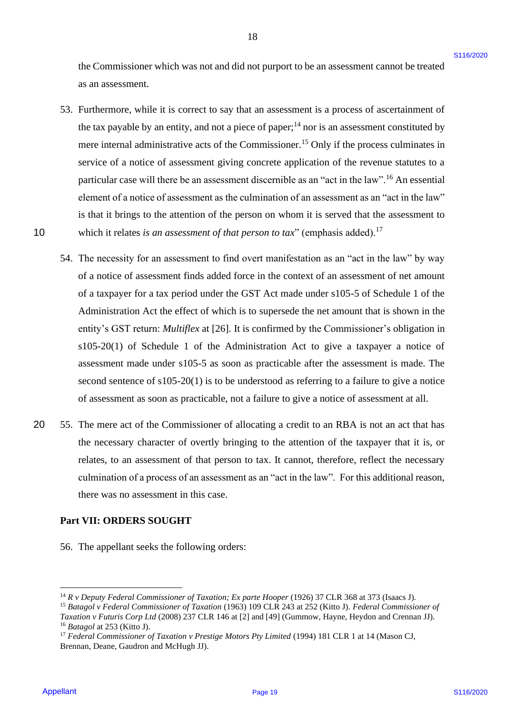the Commissioner which was not and did not purport to be an assessment cannot be treated the Commissioner which was not and did not purport to be an assessment cannot be treated as an assessment. as an assessment.

18 18

- 53. Furthermore, while it is correct to say that an assessment is a process of ascertainment of 53. Furthermore, while it is correct to say that an assessment is a process of ascertainment of the tax payable by an entity, and not a piece of paper; $^{14}$  nor is an assessment constituted by mere internal administrative acts of the Commissioner.<sup>15</sup> Only if the process culminates in service of a notice of assessment giving concrete application of the revenue statutes to a service of a notice of assessment giving concrete application of the revenue statutes to <sup>a</sup> particular case will there be an assessment discernible as an "act in the law".<sup>16</sup> An essential element of a notice of assessment as the culmination of an assessment as an "act in the law" element of <sup>a</sup> notice of assessment as the culmination of an assessment as an "act in the law" is that it brings to the attention of the person on whom it is served that the assessment to 10 which it relates *is an assessment of that person to tax*" (emphasis added).<sup>17</sup>
- 54. The necessity for an assessment to find overt manifestation as an "act in the law" by way 54. The necessity for an assessment to find overt manifestation as an "act in the law" by way of a notice of assessment finds added force in the context of an assessment of net amount of a taxpayer for a tax period under the GST Act made under s105-5 of Schedule 1 of the Administration Act the effect of which is to supersede the net amount that is shown in the Administration Act the effect of which is to supersede the net amount that is shown in the entity's GST return: *Multiflex* at [26]. It is confirmed by the Commissioner's obligation in  $s105-20(1)$  of Schedule 1 of the Administration Act to give a taxpayer a notice of assessment made under s105-5 as soon as practicable after the assessment is made. The assessment made under s105-5 as soon as practicable after the assessment is made. The second sentence of  $s105-20(1)$  is to be understood as referring to a failure to give a notice of assessment as soon as practicable, not a failure to give a notice of assessment at all. of assessment as soon as practicable, not <sup>a</sup> failure to give a notice of assessment at all. the Commissioner which was not and dot not purport to be an assessment cannot be treated<br>
as an aveventeer.<br>
Also and the correct to say that an assessment is a process of assertiancent of<br>
The Lay type of the page 19 and
- 20 55. The mere act of the Commissioner of allocating a credit to an RBA is not an act that has the necessary character of overtly bringing to the attention of the taxpayer that it is, or the necessary character of overtly bringing to the attention of the taxpayer that it is, or relates, to an assessment of that person to tax. It cannot, therefore, reflect the necessary culmination of a process of an assessment as an "act in the law". For this additional reason, culmination of <sup>a</sup> process of an assessment as an "act in the law". For this additional reason, there was no assessment in this case. there was no assessment in this case.

## **Part VII: ORDERS SOUGHT** Part VII: ORDERS SOUGHT

56. The appellant seeks the following orders: 56. The appellant seeks the following orders:

<sup>&</sup>lt;sup>14</sup> R v Deputy Federal Commissioner of Taxation; Ex parte Hooper (1926) 37 CLR 368 at 373 (Isaacs J).

<sup>&</sup>lt;sup>15</sup> Batagol v Federal Commissioner of Taxation (1963) 109 CLR 243 at 252 (Kitto J). Federal Commissioner of *Taxation v Futuris Corp Ltd* (2008) 237 CLR 146 at [2] and [49] (Gummow, Hayne, Heydon and Crennan JJ). Taxation v Futuris Corp Ltd (2008) 237 CLR 146 at [2] and [49] (Gummow, Hayne, Heydon and Crennan JJ). <sup>16</sup> *Batagol* at 253 (Kitto J).

<sup>&</sup>lt;sup>17</sup> Federal Commissioner of Taxation v Prestige Motors Pty Limited (1994) 181 CLR 1 at 14 (Mason CJ, Brennan, Deane, Gaudron and McHugh JJ). Brennan, Deane, Gaudron and McHugh JJ).